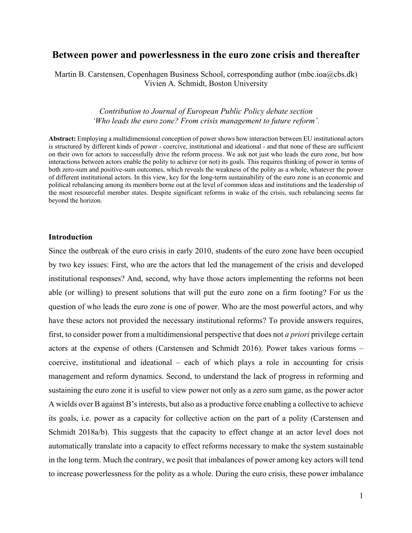# **Between power and powerlessness in the euro zone crisis and thereafter**

Martin B. Carstensen, Copenhagen Business School, corresponding author (mbc.ioa@cbs.dk) Vivien A. Schmidt, Boston University

## *Contribution to Journal of European Public Policy debate section 'Who leads the euro zone? From crisis management to future reform'.*

**Abstract:** Employing a multidimensional conception of power shows how interaction between EU institutional actors is structured by different kinds of power - coercive, institutional and ideational - and that none of these are sufficient on their own for actors to successfully drive the reform process. We ask not just who leads the euro zone, but how interactions between actors enable the polity to achieve (or not) its goals. This requires thinking of power in terms of both zero-sum and positive-sum outcomes, which reveals the weakness of the polity as a whole, whatever the power of different institutional actors. In this view, key for the long-term sustainability of the euro zone is an economic and political rebalancing among its members borne out at the level of common ideas and institutions and the leadership of the most resourceful member states. Despite significant reforms in wake of the crisis, such rebalancing seems far beyond the horizon.

## **Introduction**

Since the outbreak of the euro crisis in early 2010, students of the euro zone have been occupied by two key issues: First, who are the actors that led the management of the crisis and developed institutional responses? And, second, why have those actors implementing the reforms not been able (or willing) to present solutions that will put the euro zone on a firm footing? For us the question of who leads the euro zone is one of power. Who are the most powerful actors, and why have these actors not provided the necessary institutional reforms? To provide answers requires, first, to consider power from a multidimensional perspective that does not *a priori* privilege certain actors at the expense of others (Carstensen and Schmidt 2016). Power takes various forms – coercive, institutional and ideational – each of which plays a role in accounting for crisis management and reform dynamics. Second, to understand the lack of progress in reforming and sustaining the euro zone it is useful to view power not only as a zero sum game, as the power actor A wields over B against B's interests, but also as a productive force enabling a collective to achieve its goals, i.e. power as a capacity for collective action on the part of a polity (Carstensen and Schmidt 2018a/b). This suggests that the capacity to effect change at an actor level does not automatically translate into a capacity to effect reforms necessary to make the system sustainable in the long term. Much the contrary, we posit that imbalances of power among key actors will tend to increase powerlessness for the polity as a whole. During the euro crisis, these power imbalance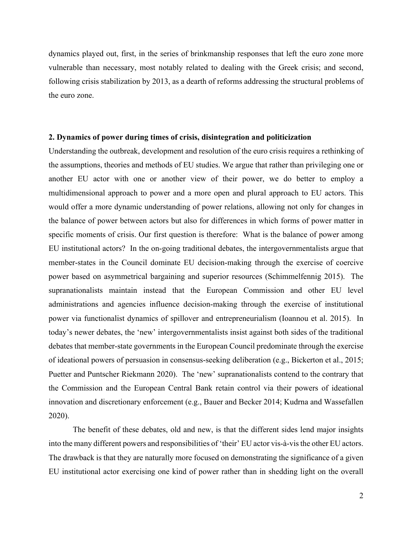dynamics played out, first, in the series of brinkmanship responses that left the euro zone more vulnerable than necessary, most notably related to dealing with the Greek crisis; and second, following crisis stabilization by 2013, as a dearth of reforms addressing the structural problems of the euro zone.

#### **2. Dynamics of power during times of crisis, disintegration and politicization**

Understanding the outbreak, development and resolution of the euro crisis requires a rethinking of the assumptions, theories and methods of EU studies. We argue that rather than privileging one or another EU actor with one or another view of their power, we do better to employ a multidimensional approach to power and a more open and plural approach to EU actors. This would offer a more dynamic understanding of power relations, allowing not only for changes in the balance of power between actors but also for differences in which forms of power matter in specific moments of crisis. Our first question is therefore: What is the balance of power among EU institutional actors? In the on-going traditional debates, the intergovernmentalists argue that member-states in the Council dominate EU decision-making through the exercise of coercive power based on asymmetrical bargaining and superior resources (Schimmelfennig 2015). The supranationalists maintain instead that the European Commission and other EU level administrations and agencies influence decision-making through the exercise of institutional power via functionalist dynamics of spillover and entrepreneurialism (Ioannou et al. 2015). In today's newer debates, the 'new' intergovernmentalists insist against both sides of the traditional debates that member-state governments in the European Council predominate through the exercise of ideational powers of persuasion in consensus-seeking deliberation (e.g., Bickerton et al., 2015; Puetter and Puntscher Riekmann 2020). The 'new' supranationalists contend to the contrary that the Commission and the European Central Bank retain control via their powers of ideational innovation and discretionary enforcement (e.g., Bauer and Becker 2014; Kudrna and Wassefallen 2020).

The benefit of these debates, old and new, is that the different sides lend major insights into the many different powers and responsibilities of 'their' EU actor vis-à-vis the other EU actors. The drawback is that they are naturally more focused on demonstrating the significance of a given EU institutional actor exercising one kind of power rather than in shedding light on the overall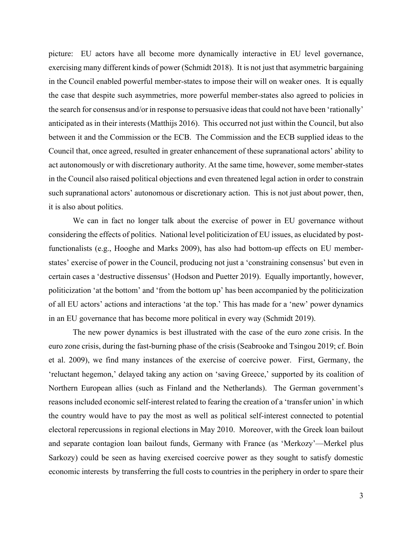picture: EU actors have all become more dynamically interactive in EU level governance, exercising many different kinds of power (Schmidt 2018). It is not just that asymmetric bargaining in the Council enabled powerful member-states to impose their will on weaker ones. It is equally the case that despite such asymmetries, more powerful member-states also agreed to policies in the search for consensus and/or in response to persuasive ideas that could not have been 'rationally' anticipated as in their interests (Matthijs 2016). This occurred not just within the Council, but also between it and the Commission or the ECB. The Commission and the ECB supplied ideas to the Council that, once agreed, resulted in greater enhancement of these supranational actors' ability to act autonomously or with discretionary authority. At the same time, however, some member-states in the Council also raised political objections and even threatened legal action in order to constrain such supranational actors' autonomous or discretionary action. This is not just about power, then, it is also about politics.

We can in fact no longer talk about the exercise of power in EU governance without considering the effects of politics. National level politicization of EU issues, as elucidated by postfunctionalists (e.g., Hooghe and Marks 2009), has also had bottom-up effects on EU memberstates' exercise of power in the Council, producing not just a 'constraining consensus' but even in certain cases a 'destructive dissensus' (Hodson and Puetter 2019). Equally importantly, however, politicization 'at the bottom' and 'from the bottom up' has been accompanied by the politicization of all EU actors' actions and interactions 'at the top.' This has made for a 'new' power dynamics in an EU governance that has become more political in every way (Schmidt 2019).

The new power dynamics is best illustrated with the case of the euro zone crisis. In the euro zone crisis, during the fast-burning phase of the crisis (Seabrooke and Tsingou 2019; cf. Boin et al. 2009), we find many instances of the exercise of coercive power. First, Germany, the 'reluctant hegemon,' delayed taking any action on 'saving Greece,' supported by its coalition of Northern European allies (such as Finland and the Netherlands). The German government's reasons included economic self-interest related to fearing the creation of a 'transfer union' in which the country would have to pay the most as well as political self-interest connected to potential electoral repercussions in regional elections in May 2010. Moreover, with the Greek loan bailout and separate contagion loan bailout funds, Germany with France (as 'Merkozy'—Merkel plus Sarkozy) could be seen as having exercised coercive power as they sought to satisfy domestic economic interests by transferring the full costs to countries in the periphery in order to spare their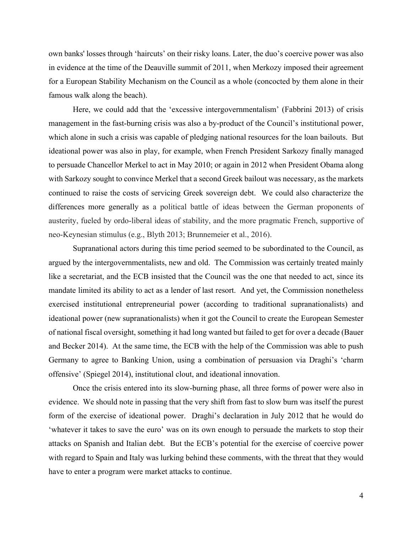own banks' losses through 'haircuts' on their risky loans. Later, the duo's coercive power was also in evidence at the time of the Deauville summit of 2011, when Merkozy imposed their agreement for a European Stability Mechanism on the Council as a whole (concocted by them alone in their famous walk along the beach).

Here, we could add that the 'excessive intergovernmentalism' (Fabbrini 2013) of crisis management in the fast-burning crisis was also a by-product of the Council's institutional power, which alone in such a crisis was capable of pledging national resources for the loan bailouts. But ideational power was also in play, for example, when French President Sarkozy finally managed to persuade Chancellor Merkel to act in May 2010; or again in 2012 when President Obama along with Sarkozy sought to convince Merkel that a second Greek bailout was necessary, as the markets continued to raise the costs of servicing Greek sovereign debt. We could also characterize the differences more generally as a political battle of ideas between the German proponents of austerity, fueled by ordo-liberal ideas of stability, and the more pragmatic French, supportive of neo-Keynesian stimulus (e.g., Blyth 2013; Brunnemeier et al., 2016).

Supranational actors during this time period seemed to be subordinated to the Council, as argued by the intergovernmentalists, new and old. The Commission was certainly treated mainly like a secretariat, and the ECB insisted that the Council was the one that needed to act, since its mandate limited its ability to act as a lender of last resort. And yet, the Commission nonetheless exercised institutional entrepreneurial power (according to traditional supranationalists) and ideational power (new supranationalists) when it got the Council to create the European Semester of national fiscal oversight, something it had long wanted but failed to get for over a decade (Bauer and Becker 2014). At the same time, the ECB with the help of the Commission was able to push Germany to agree to Banking Union, using a combination of persuasion via Draghi's 'charm offensive' (Spiegel 2014), institutional clout, and ideational innovation.

Once the crisis entered into its slow-burning phase, all three forms of power were also in evidence. We should note in passing that the very shift from fast to slow burn was itself the purest form of the exercise of ideational power. Draghi's declaration in July 2012 that he would do 'whatever it takes to save the euro' was on its own enough to persuade the markets to stop their attacks on Spanish and Italian debt. But the ECB's potential for the exercise of coercive power with regard to Spain and Italy was lurking behind these comments, with the threat that they would have to enter a program were market attacks to continue.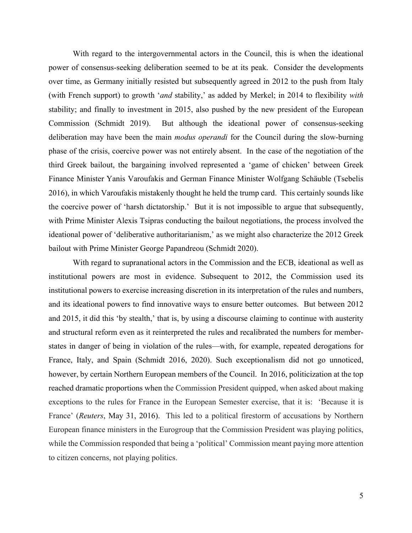With regard to the intergovernmental actors in the Council, this is when the ideational power of consensus-seeking deliberation seemed to be at its peak. Consider the developments over time, as Germany initially resisted but subsequently agreed in 2012 to the push from Italy (with French support) to growth '*and* stability,' as added by Merkel; in 2014 to flexibility *with* stability; and finally to investment in 2015, also pushed by the new president of the European Commission (Schmidt 2019). But although the ideational power of consensus-seeking deliberation may have been the main *modus operandi* for the Council during the slow-burning phase of the crisis, coercive power was not entirely absent. In the case of the negotiation of the third Greek bailout, the bargaining involved represented a 'game of chicken' between Greek Finance Minister Yanis Varoufakis and German Finance Minister Wolfgang Schäuble (Tsebelis 2016), in which Varoufakis mistakenly thought he held the trump card. This certainly sounds like the coercive power of 'harsh dictatorship.' But it is not impossible to argue that subsequently, with Prime Minister Alexis Tsipras conducting the bailout negotiations, the process involved the ideational power of 'deliberative authoritarianism,' as we might also characterize the 2012 Greek bailout with Prime Minister George Papandreou (Schmidt 2020).

With regard to supranational actors in the Commission and the ECB, ideational as well as institutional powers are most in evidence. Subsequent to 2012, the Commission used its institutional powers to exercise increasing discretion in its interpretation of the rules and numbers, and its ideational powers to find innovative ways to ensure better outcomes. But between 2012 and 2015, it did this 'by stealth,' that is, by using a discourse claiming to continue with austerity and structural reform even as it reinterpreted the rules and recalibrated the numbers for memberstates in danger of being in violation of the rules—with, for example, repeated derogations for France, Italy, and Spain (Schmidt 2016, 2020). Such exceptionalism did not go unnoticed, however, by certain Northern European members of the Council. In 2016, politicization at the top reached dramatic proportions when the Commission President quipped, when asked about making exceptions to the rules for France in the European Semester exercise, that it is: 'Because it is France' (*Reuters*, May 31, 2016). This led to a political firestorm of accusations by Northern European finance ministers in the Eurogroup that the Commission President was playing politics, while the Commission responded that being a 'political' Commission meant paying more attention to citizen concerns, not playing politics.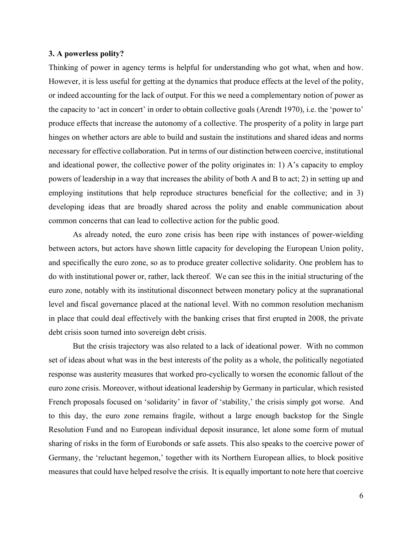## **3. A powerless polity?**

Thinking of power in agency terms is helpful for understanding who got what, when and how. However, it is less useful for getting at the dynamics that produce effects at the level of the polity, or indeed accounting for the lack of output. For this we need a complementary notion of power as the capacity to 'act in concert' in order to obtain collective goals (Arendt 1970), i.e. the 'power to' produce effects that increase the autonomy of a collective. The prosperity of a polity in large part hinges on whether actors are able to build and sustain the institutions and shared ideas and norms necessary for effective collaboration. Put in terms of our distinction between coercive, institutional and ideational power, the collective power of the polity originates in: 1) A's capacity to employ powers of leadership in a way that increases the ability of both A and B to act; 2) in setting up and employing institutions that help reproduce structures beneficial for the collective; and in 3) developing ideas that are broadly shared across the polity and enable communication about common concerns that can lead to collective action for the public good.

As already noted, the euro zone crisis has been ripe with instances of power-wielding between actors, but actors have shown little capacity for developing the European Union polity, and specifically the euro zone, so as to produce greater collective solidarity. One problem has to do with institutional power or, rather, lack thereof. We can see this in the initial structuring of the euro zone, notably with its institutional disconnect between monetary policy at the supranational level and fiscal governance placed at the national level. With no common resolution mechanism in place that could deal effectively with the banking crises that first erupted in 2008, the private debt crisis soon turned into sovereign debt crisis.

But the crisis trajectory was also related to a lack of ideational power. With no common set of ideas about what was in the best interests of the polity as a whole, the politically negotiated response was austerity measures that worked pro-cyclically to worsen the economic fallout of the euro zone crisis. Moreover, without ideational leadership by Germany in particular, which resisted French proposals focused on 'solidarity' in favor of 'stability,' the crisis simply got worse. And to this day, the euro zone remains fragile, without a large enough backstop for the Single Resolution Fund and no European individual deposit insurance, let alone some form of mutual sharing of risks in the form of Eurobonds or safe assets. This also speaks to the coercive power of Germany, the 'reluctant hegemon,' together with its Northern European allies, to block positive measures that could have helped resolve the crisis. It is equally important to note here that coercive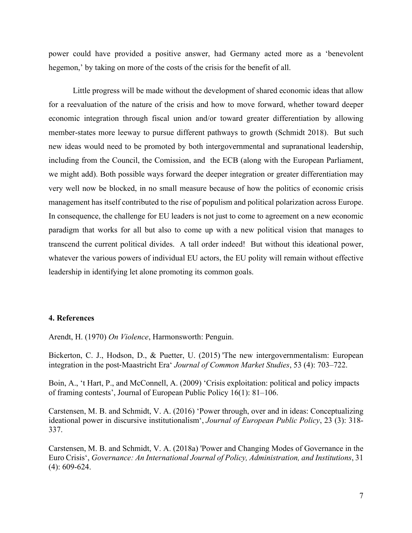power could have provided a positive answer, had Germany acted more as a 'benevolent hegemon,' by taking on more of the costs of the crisis for the benefit of all.

Little progress will be made without the development of shared economic ideas that allow for a reevaluation of the nature of the crisis and how to move forward, whether toward deeper economic integration through fiscal union and/or toward greater differentiation by allowing member-states more leeway to pursue different pathways to growth (Schmidt 2018). But such new ideas would need to be promoted by both intergovernmental and supranational leadership, including from the Council, the Comission, and the ECB (along with the European Parliament, we might add). Both possible ways forward the deeper integration or greater differentiation may very well now be blocked, in no small measure because of how the politics of economic crisis management has itself contributed to the rise of populism and political polarization across Europe. In consequence, the challenge for EU leaders is not just to come to agreement on a new economic paradigm that works for all but also to come up with a new political vision that manages to transcend the current political divides. A tall order indeed! But without this ideational power, whatever the various powers of individual EU actors, the EU polity will remain without effective leadership in identifying let alone promoting its common goals.

## **4. References**

Arendt, H. (1970) *On Violence*, Harmonsworth: Penguin.

Bickerton, C. J., Hodson, D., & Puetter, U. (2015) 'The new intergovernmentalism: European integration in the post-Maastricht Era' *Journal of Common Market Studies*, 53 (4): 703–722.

Boin, A., 't Hart, P., and McConnell, A. (2009) 'Crisis exploitation: political and policy impacts of framing contests', Journal of European Public Policy 16(1): 81–106.

Carstensen, M. B. and Schmidt, V. A. (2016) 'Power through, over and in ideas: Conceptualizing ideational power in discursive institutionalism', *Journal of European Public Policy*, 23 (3): 318- 337.

Carstensen, M. B. and Schmidt, V. A. (2018a) 'Power and Changing Modes of Governance in the Euro Crisis', *Governance: An International Journal of Policy, Administration, and Institutions*, 31 (4): 609-624.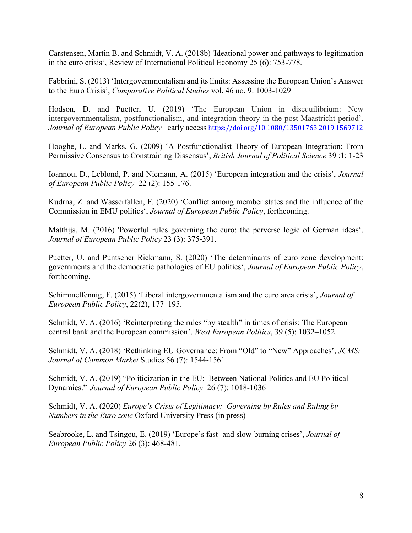Carstensen, Martin B. and Schmidt, V. A. (2018b) 'Ideational power and pathways to legitimation in the euro crisis', Review of International Political Economy 25 (6): 753-778.

Fabbrini, S. (2013) 'Intergovernmentalism and its limits: Assessing the European Union's Answer to the Euro Crisis', *Comparative Political Studies* vol. 46 no. 9: 1003-1029

Hodson, D. and Puetter, U. (2019) 'The European Union in disequilibrium: New intergovernmentalism, postfunctionalism, and integration theory in the post-Maastricht period'. *Journal of European Public Policy* early access https://doi.org/10.1080/13501763.2019.1569712

Hooghe, L. and Marks, G. (2009) 'A Postfunctionalist Theory of European Integration: From Permissive Consensus to Constraining Dissensus', *British Journal of Political Science* 39 :1: 1-23

Ioannou, D., Leblond, P. and Niemann, A. (2015) 'European integration and the crisis', *Journal of European Public Policy* 22 (2): 155-176.

Kudrna, Z. and Wasserfallen, F. (2020) 'Conflict among member states and the influence of the Commission in EMU politics', *Journal of European Public Policy*, forthcoming.

Matthijs, M. (2016) 'Powerful rules governing the euro: the perverse logic of German ideas', *Journal of European Public Policy* 23 (3): 375-391.

Puetter, U. and Puntscher Riekmann, S. (2020) 'The determinants of euro zone development: governments and the democratic pathologies of EU politics', *Journal of European Public Policy*, forthcoming.

Schimmelfennig, F. (2015) 'Liberal intergovernmentalism and the euro area crisis', *Journal of European Public Policy*, 22(2), 177–195.

Schmidt, V. A. (2016) 'Reinterpreting the rules "by stealth" in times of crisis: The European central bank and the European commission', *West European Politics*, 39 (5): 1032–1052.

Schmidt, V. A. (2018) 'Rethinking EU Governance: From "Old" to "New" Approaches', *JCMS: Journal of Common Market* Studies 56 (7): 1544-1561.

Schmidt, V. A. (2019) "Politicization in the EU: Between National Politics and EU Political Dynamics."*Journal of European Public Policy* 26 (7): 1018-1036

Schmidt, V. A. (2020) *Europe's Crisis of Legitimacy: Governing by Rules and Ruling by Numbers in the Euro zone* Oxford University Press (in press)

Seabrooke, L. and Tsingou, E. (2019) 'Europe's fast- and slow-burning crises', *Journal of European Public Policy* 26 (3): 468-481.